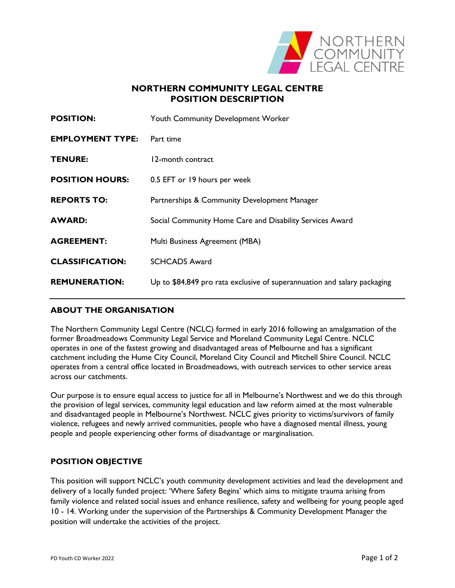

### **NORTHERN COMMUNITY LEGAL CENTRE POSITION DESCRIPTION**

| <b>POSITION:</b>        | Youth Community Development Worker                                       |
|-------------------------|--------------------------------------------------------------------------|
| <b>EMPLOYMENT TYPE:</b> | Part time                                                                |
| <b>TENURE:</b>          | 12-month contract                                                        |
| <b>POSITION HOURS:</b>  | 0.5 EFT or 19 hours per week                                             |
| <b>REPORTS TO:</b>      | Partnerships & Community Development Manager                             |
| <b>AWARD:</b>           | Social Community Home Care and Disability Services Award                 |
| <b>AGREEMENT:</b>       | Multi Business Agreement (MBA)                                           |
| <b>CLASSIFICATION:</b>  | <b>SCHCADS Award</b>                                                     |
| <b>REMUNERATION:</b>    | Up to \$84,849 pro rata exclusive of superannuation and salary packaging |
|                         |                                                                          |

# **ABOUT THE ORGANISATION**

The Northern Community Legal Centre (NCLC) formed in early 2016 following an amalgamation of the former Broadmeadows Community Legal Service and Moreland Community Legal Centre. NCLC operates in one of the fastest growing and disadvantaged areas of Melbourne and has a significant catchment including the Hume City Council, Moreland City Council and Mitchell Shire Council. NCLC operates from a central office located in Broadmeadows, with outreach services to other service areas across our catchments.

Our purpose is to ensure equal access to justice for all in Melbourne's Northwest and we do this through the provision of legal services, community legal education and law reform aimed at the most vulnerable and disadvantaged people in Melbourne's Northwest. NCLC gives priority to victims/survivors of family violence, refugees and newly arrived communities, people who have a diagnosed mental illness, young people and people experiencing other forms of disadvantage or marginalisation.

### **POSITION OBJECTIVE**

This position will support NCLC's youth community development activities and lead the development and delivery of a locally funded project: 'Where Safety Begins' which aims to mitigate trauma arising from family violence and related social issues and enhance resilience, safety and wellbeing for young people aged 10 - 14. Working under the supervision of the Partnerships & Community Development Manager the position will undertake the activities of the project.